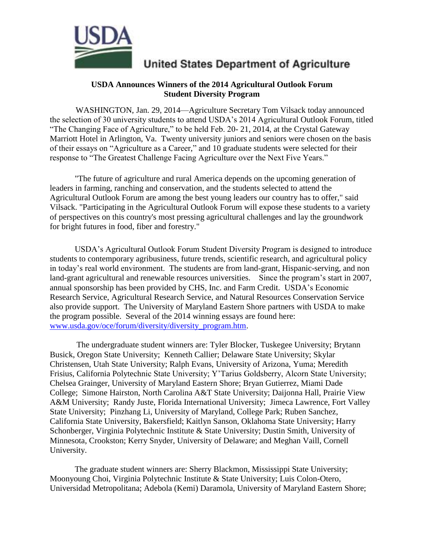

## **United States Department of Agriculture**

## **USDA Announces Winners of the 2014 Agricultural Outlook Forum Student Diversity Program**

 WASHINGTON, Jan. 29, 2014—Agriculture Secretary Tom Vilsack today announced the selection of 30 university students to attend USDA's 2014 Agricultural Outlook Forum, titled "The Changing Face of Agriculture," to be held Feb. 20- 21, 2014, at the Crystal Gateway Marriott Hotel in Arlington, Va. Twenty university juniors and seniors were chosen on the basis of their essays on "Agriculture as a Career," and 10 graduate students were selected for their response to "The Greatest Challenge Facing Agriculture over the Next Five Years."

"The future of agriculture and rural America depends on the upcoming generation of leaders in farming, ranching and conservation, and the students selected to attend the Agricultural Outlook Forum are among the best young leaders our country has to offer," said Vilsack. "Participating in the Agricultural Outlook Forum will expose these students to a variety of perspectives on this country's most pressing agricultural challenges and lay the groundwork for bright futures in food, fiber and forestry."

USDA's Agricultural Outlook Forum Student Diversity Program is designed to introduce students to contemporary agribusiness, future trends, scientific research, and agricultural policy in today's real world environment. The students are from land-grant, Hispanic-serving, and non land-grant agricultural and renewable resources universities. Since the program's start in 2007, annual sponsorship has been provided by CHS, Inc. and Farm Credit. USDA's Economic Research Service, Agricultural Research Service, and Natural Resources Conservation Service also provide support. The University of Maryland Eastern Shore partners with USDA to make the program possible. Several of the 2014 winning essays are found here: [www.usda.gov/oce/forum/diversity/diversity\\_program.htm.](http://www.usda.gov/oce/forum/diversity/diversity_program.htm)

 The undergraduate student winners are: Tyler Blocker, Tuskegee University; Brytann Busick, Oregon State University; Kenneth Callier; Delaware State University; Skylar Christensen, Utah State University; Ralph Evans, University of Arizona, Yuma; Meredith Frisius, California Polytechnic State University; Y'Tarius Goldsberry, Alcorn State University; Chelsea Grainger, University of Maryland Eastern Shore; Bryan Gutierrez, Miami Dade College; Simone Hairston, North Carolina A&T State University; Daijonna Hall, Prairie View A&M University; Randy Juste, Florida International University; Jimeca Lawrence, Fort Valley State University; Pinzhang Li, University of Maryland, College Park; Ruben Sanchez, California State University, Bakersfield; Kaitlyn Sanson, Oklahoma State University; Harry Schonberger, Virginia Polytechnic Institute & State University; Dustin Smith, University of Minnesota, Crookston; Kerry Snyder, University of Delaware; and Meghan Vaill, Cornell University.

The graduate student winners are: Sherry Blackmon, Mississippi State University; Moonyoung Choi, Virginia Polytechnic Institute & State University; Luis Colon-Otero, Universidad Metropolitana; Adebola (Kemi) Daramola, University of Maryland Eastern Shore;